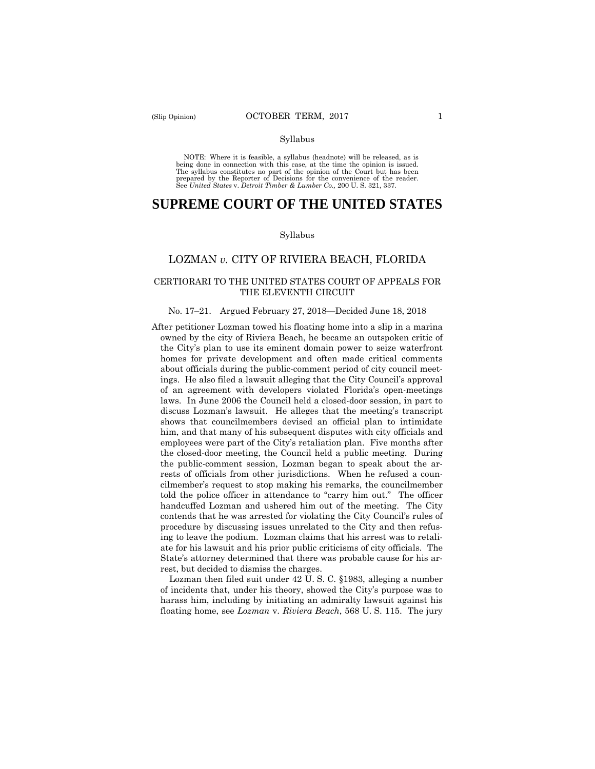#### Syllabus

 NOTE: Where it is feasible, a syllabus (headnote) will be released, as is being done in connection with this case, at the time the opinion is issued. The syllabus constitutes no part of the opinion of the Court but has been<br>prepared by the Reporter of Decisions for the convenience of the reader.<br>See United States v. Detroit Timber & Lumber Co., 200 U. S. 321, 337.

# **SUPREME COURT OF THE UNITED STATES**

#### Syllabus

# LOZMAN *v.* CITY OF RIVIERA BEACH, FLORIDA

### CERTIORARI TO THE UNITED STATES COURT OF APPEALS FOR THE ELEVENTH CIRCUIT

#### No. 17–21. Argued February 27, 2018—Decided June 18, 2018

 ings. He also filed a lawsuit alleging that the City Council's approval After petitioner Lozman towed his floating home into a slip in a marina owned by the city of Riviera Beach, he became an outspoken critic of the City's plan to use its eminent domain power to seize waterfront homes for private development and often made critical comments about officials during the public-comment period of city council meetof an agreement with developers violated Florida's open-meetings laws. In June 2006 the Council held a closed-door session, in part to discuss Lozman's lawsuit. He alleges that the meeting's transcript shows that councilmembers devised an official plan to intimidate him, and that many of his subsequent disputes with city officials and employees were part of the City's retaliation plan. Five months after the closed-door meeting, the Council held a public meeting. During the public-comment session, Lozman began to speak about the arrests of officials from other jurisdictions. When he refused a councilmember's request to stop making his remarks, the councilmember told the police officer in attendance to "carry him out." The officer handcuffed Lozman and ushered him out of the meeting. The City contends that he was arrested for violating the City Council's rules of procedure by discussing issues unrelated to the City and then refusing to leave the podium. Lozman claims that his arrest was to retaliate for his lawsuit and his prior public criticisms of city officials. The State's attorney determined that there was probable cause for his arrest, but decided to dismiss the charges.

Lozman then filed suit under 42 U. S. C. §1983, alleging a number of incidents that, under his theory, showed the City's purpose was to harass him, including by initiating an admiralty lawsuit against his floating home, see *Lozman* v. *Riviera Beach*, 568 U. S. 115. The jury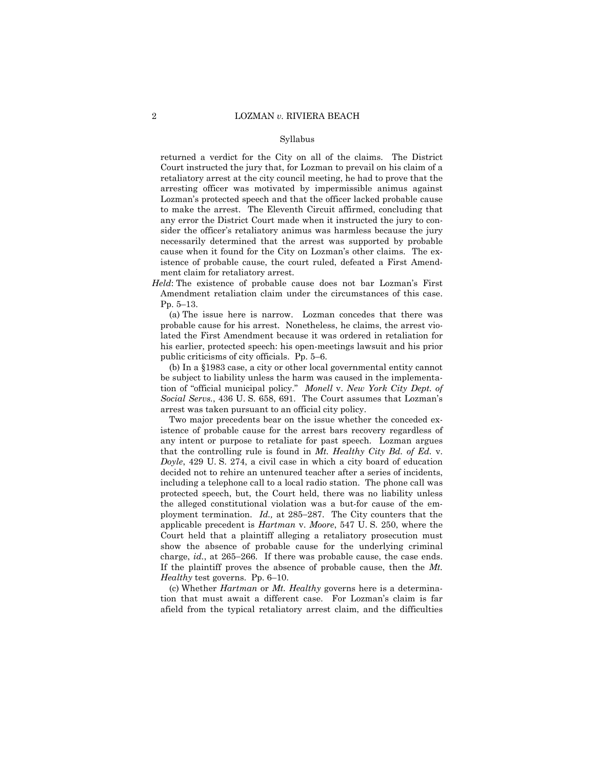#### Syllabus

returned a verdict for the City on all of the claims. The District Court instructed the jury that, for Lozman to prevail on his claim of a retaliatory arrest at the city council meeting, he had to prove that the arresting officer was motivated by impermissible animus against Lozman's protected speech and that the officer lacked probable cause to make the arrest. The Eleventh Circuit affirmed, concluding that any error the District Court made when it instructed the jury to consider the officer's retaliatory animus was harmless because the jury necessarily determined that the arrest was supported by probable cause when it found for the City on Lozman's other claims. The existence of probable cause, the court ruled, defeated a First Amendment claim for retaliatory arrest.

*Held*: The existence of probable cause does not bar Lozman's First Amendment retaliation claim under the circumstances of this case. Pp. 5–13.

(a) The issue here is narrow. Lozman concedes that there was probable cause for his arrest. Nonetheless, he claims, the arrest violated the First Amendment because it was ordered in retaliation for his earlier, protected speech: his open-meetings lawsuit and his prior public criticisms of city officials. Pp. 5–6.

(b) In a §1983 case, a city or other local governmental entity cannot be subject to liability unless the harm was caused in the implementation of "official municipal policy." *Monell* v. *New York City Dept. of Social Servs.*, 436 U. S. 658, 691. The Court assumes that Lozman's arrest was taken pursuant to an official city policy.

Two major precedents bear on the issue whether the conceded existence of probable cause for the arrest bars recovery regardless of any intent or purpose to retaliate for past speech. Lozman argues that the controlling rule is found in *Mt. Healthy City Bd. of Ed.* v. *Doyle*, 429 U. S. 274, a civil case in which a city board of education decided not to rehire an untenured teacher after a series of incidents, including a telephone call to a local radio station. The phone call was protected speech, but, the Court held, there was no liability unless the alleged constitutional violation was a but-for cause of the employment termination. *Id.*, at 285–287. The City counters that the applicable precedent is *Hartman* v. *Moore*, 547 U. S. 250, where the Court held that a plaintiff alleging a retaliatory prosecution must show the absence of probable cause for the underlying criminal charge, *id.*, at 265–266. If there was probable cause, the case ends. If the plaintiff proves the absence of probable cause, then the *Mt. Healthy* test governs. Pp. 6–10.

(c) Whether *Hartman* or *Mt. Healthy* governs here is a determination that must await a different case. For Lozman's claim is far afield from the typical retaliatory arrest claim, and the difficulties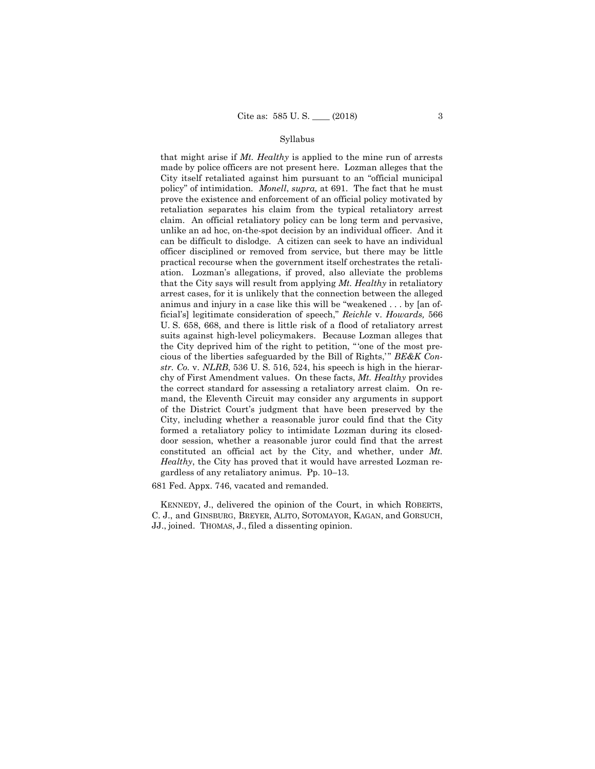#### Syllabus

that might arise if *Mt. Healthy* is applied to the mine run of arrests made by police officers are not present here. Lozman alleges that the City itself retaliated against him pursuant to an "official municipal policy" of intimidation. *Monell*, *supra,* at 691. The fact that he must prove the existence and enforcement of an official policy motivated by retaliation separates his claim from the typical retaliatory arrest claim. An official retaliatory policy can be long term and pervasive, unlike an ad hoc, on-the-spot decision by an individual officer. And it can be difficult to dislodge. A citizen can seek to have an individual officer disciplined or removed from service, but there may be little practical recourse when the government itself orchestrates the retaliation. Lozman's allegations, if proved, also alleviate the problems that the City says will result from applying *Mt. Healthy* in retaliatory arrest cases, for it is unlikely that the connection between the alleged animus and injury in a case like this will be "weakened . . . by [an official's] legitimate consideration of speech," *Reichle* v. *Howards,* 566 U. S. 658, 668, and there is little risk of a flood of retaliatory arrest suits against high-level policymakers. Because Lozman alleges that the City deprived him of the right to petition, " 'one of the most precious of the liberties safeguarded by the Bill of Rights," *BE&K Constr. Co.* v. *NLRB*, 536 U. S. 516, 524, his speech is high in the hierarchy of First Amendment values. On these facts, *Mt. Healthy* provides the correct standard for assessing a retaliatory arrest claim. On remand, the Eleventh Circuit may consider any arguments in support of the District Court's judgment that have been preserved by the City, including whether a reasonable juror could find that the City formed a retaliatory policy to intimidate Lozman during its closeddoor session, whether a reasonable juror could find that the arrest constituted an official act by the City, and whether, under *Mt. Healthy*, the City has proved that it would have arrested Lozman regardless of any retaliatory animus. Pp. 10–13.

681 Fed. Appx. 746, vacated and remanded.

 KENNEDY, J., delivered the opinion of the Court, in which ROBERTS, C. J., and GINSBURG, BREYER, ALITO, SOTOMAYOR, KAGAN, and GORSUCH, JJ., joined. THOMAS, J., filed a dissenting opinion.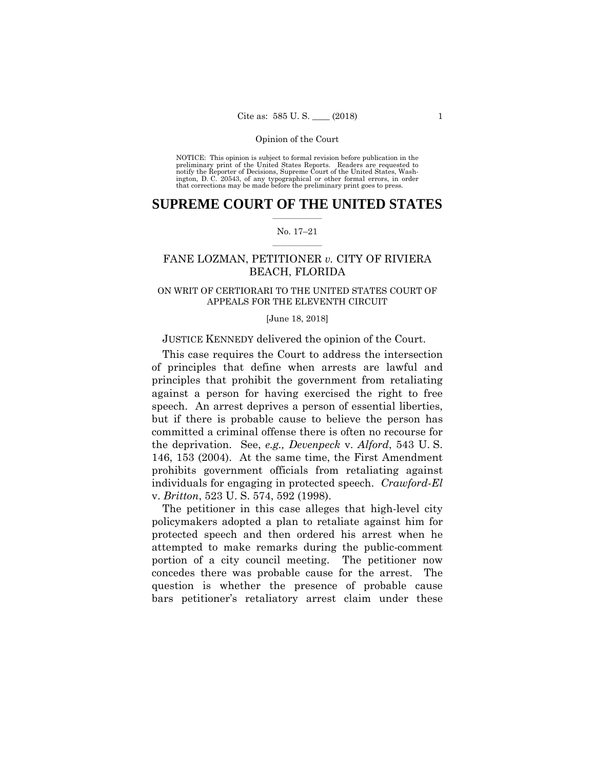preliminary print of the United States Reports. Readers are requested to notify the Reporter of Decisions, Supreme Court of the United States, Wash- ington, D. C. 20543, of any typographical or other formal errors, in order that corrections may be made before the preliminary print goes to press. NOTICE: This opinion is subject to formal revision before publication in the

### $\frac{1}{2}$  , where  $\frac{1}{2}$ **SUPREME COURT OF THE UNITED STATES**

#### $\frac{1}{2}$  ,  $\frac{1}{2}$  ,  $\frac{1}{2}$  ,  $\frac{1}{2}$  ,  $\frac{1}{2}$  ,  $\frac{1}{2}$ No. 17–21

# FANE LOZMAN, PETITIONER *v.* CITY OF RIVIERA BEACH, FLORIDA

# ON WRIT OF CERTIORARI TO THE UNITED STATES COURT OF APPEALS FOR THE ELEVENTH CIRCUIT

#### [June 18, 2018]

### JUSTICE KENNEDY delivered the opinion of the Court.

This case requires the Court to address the intersection of principles that define when arrests are lawful and principles that prohibit the government from retaliating against a person for having exercised the right to free speech. An arrest deprives a person of essential liberties, but if there is probable cause to believe the person has committed a criminal offense there is often no recourse for the deprivation. See, *e.g., Devenpeck* v. *Alford*, 543 U. S. 146, 153 (2004). At the same time, the First Amendment prohibits government officials from retaliating against individuals for engaging in protected speech. *Crawford-El*  v. *Britton*, 523 U. S. 574, 592 (1998).

The petitioner in this case alleges that high-level city policymakers adopted a plan to retaliate against him for protected speech and then ordered his arrest when he attempted to make remarks during the public-comment portion of a city council meeting. The petitioner now concedes there was probable cause for the arrest. The question is whether the presence of probable cause bars petitioner's retaliatory arrest claim under these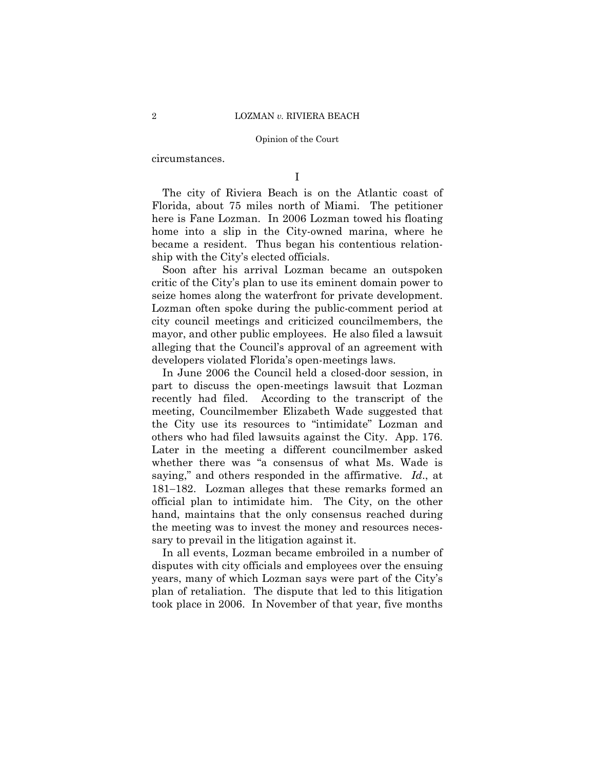circumstances.

I

The city of Riviera Beach is on the Atlantic coast of Florida, about 75 miles north of Miami. The petitioner here is Fane Lozman. In 2006 Lozman towed his floating home into a slip in the City-owned marina, where he became a resident. Thus began his contentious relationship with the City's elected officials.

Soon after his arrival Lozman became an outspoken critic of the City's plan to use its eminent domain power to seize homes along the waterfront for private development. Lozman often spoke during the public-comment period at city council meetings and criticized councilmembers, the mayor, and other public employees. He also filed a lawsuit alleging that the Council's approval of an agreement with developers violated Florida's open-meetings laws.

In June 2006 the Council held a closed-door session, in part to discuss the open-meetings lawsuit that Lozman recently had filed. According to the transcript of the meeting, Councilmember Elizabeth Wade suggested that the City use its resources to "intimidate" Lozman and others who had filed lawsuits against the City. App. 176. Later in the meeting a different councilmember asked whether there was "a consensus of what Ms. Wade is saying," and others responded in the affirmative. *Id*., at 181–182. Lozman alleges that these remarks formed an official plan to intimidate him. The City, on the other hand, maintains that the only consensus reached during the meeting was to invest the money and resources necessary to prevail in the litigation against it.

In all events, Lozman became embroiled in a number of disputes with city officials and employees over the ensuing years, many of which Lozman says were part of the City's plan of retaliation. The dispute that led to this litigation took place in 2006. In November of that year, five months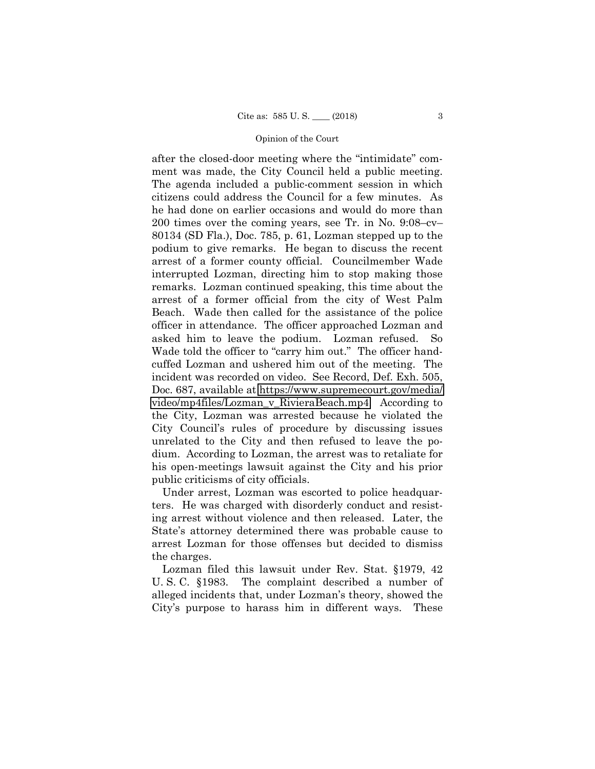after the closed-door meeting where the "intimidate" comment was made, the City Council held a public meeting. The agenda included a public-comment session in which citizens could address the Council for a few minutes. As he had done on earlier occasions and would do more than 200 times over the coming years, see Tr. in No. 9:08–cv– 80134 (SD Fla.), Doc. 785, p. 61, Lozman stepped up to the podium to give remarks. He began to discuss the recent arrest of a former county official. Councilmember Wade interrupted Lozman, directing him to stop making those remarks. Lozman continued speaking, this time about the arrest of a former official from the city of West Palm Beach. Wade then called for the assistance of the police officer in attendance. The officer approached Lozman and asked him to leave the podium. Lozman refused. So Wade told the officer to "carry him out." The officer handcuffed Lozman and ushered him out of the meeting. The incident was recorded on video. See Record, Def. Exh. 505, Doc. 687, available at [https://www.supremecourt.gov/media/](https://www.supremecourt.gov/media/video/mp4files/Lozman_v_RivieraBeach.mp4) [video/mp4files/Lozman\\_v\\_RivieraBeach.mp4.](https://www.supremecourt.gov/media/video/mp4files/Lozman_v_RivieraBeach.mp4) According to the City, Lozman was arrested because he violated the City Council's rules of procedure by discussing issues unrelated to the City and then refused to leave the podium. According to Lozman, the arrest was to retaliate for his open-meetings lawsuit against the City and his prior public criticisms of city officials.

Under arrest, Lozman was escorted to police headquarters. He was charged with disorderly conduct and resisting arrest without violence and then released. Later, the State's attorney determined there was probable cause to arrest Lozman for those offenses but decided to dismiss the charges.

Lozman filed this lawsuit under Rev. Stat. §1979, 42 U. S. C. §1983. The complaint described a number of alleged incidents that, under Lozman's theory, showed the City's purpose to harass him in different ways. These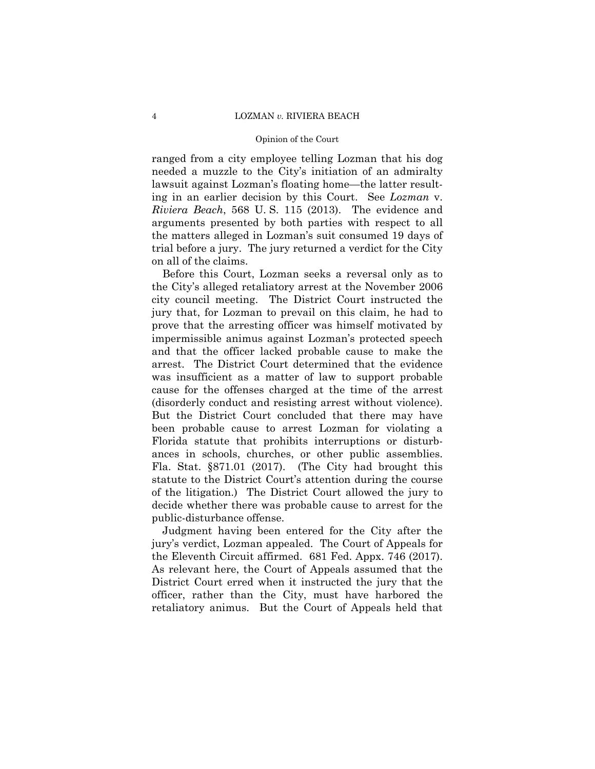ranged from a city employee telling Lozman that his dog needed a muzzle to the City's initiation of an admiralty lawsuit against Lozman's floating home—the latter resulting in an earlier decision by this Court. See *Lozman* v. *Riviera Beach*, 568 U. S. 115 (2013). The evidence and arguments presented by both parties with respect to all the matters alleged in Lozman's suit consumed 19 days of trial before a jury. The jury returned a verdict for the City on all of the claims.

Before this Court, Lozman seeks a reversal only as to the City's alleged retaliatory arrest at the November 2006 city council meeting. The District Court instructed the jury that, for Lozman to prevail on this claim, he had to prove that the arresting officer was himself motivated by impermissible animus against Lozman's protected speech and that the officer lacked probable cause to make the arrest. The District Court determined that the evidence was insufficient as a matter of law to support probable cause for the offenses charged at the time of the arrest (disorderly conduct and resisting arrest without violence). But the District Court concluded that there may have been probable cause to arrest Lozman for violating a Florida statute that prohibits interruptions or disturbances in schools, churches, or other public assemblies. Fla. Stat. §871.01 (2017). (The City had brought this statute to the District Court's attention during the course of the litigation.) The District Court allowed the jury to decide whether there was probable cause to arrest for the public-disturbance offense.

Judgment having been entered for the City after the jury's verdict, Lozman appealed. The Court of Appeals for the Eleventh Circuit affirmed. 681 Fed. Appx. 746 (2017). As relevant here, the Court of Appeals assumed that the District Court erred when it instructed the jury that the officer, rather than the City, must have harbored the retaliatory animus. But the Court of Appeals held that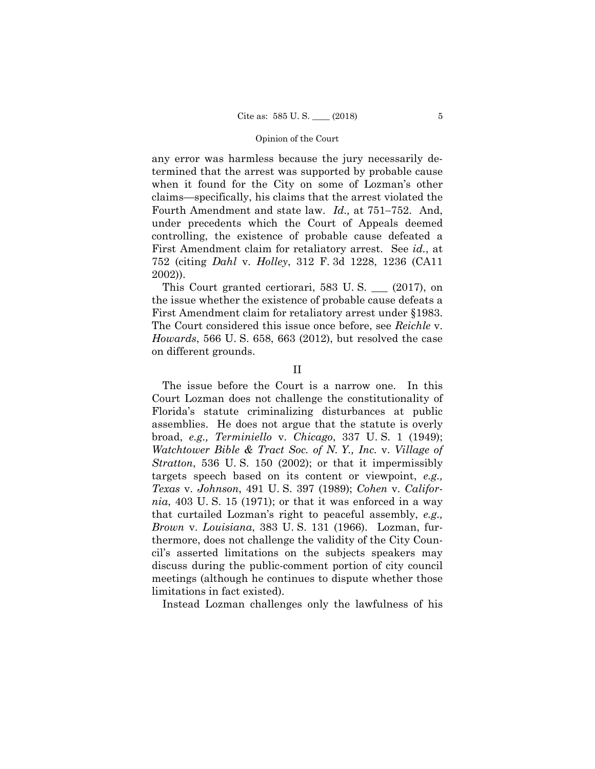any error was harmless because the jury necessarily determined that the arrest was supported by probable cause when it found for the City on some of Lozman's other claims—specifically, his claims that the arrest violated the Fourth Amendment and state law. *Id.*, at 751–752. And, under precedents which the Court of Appeals deemed controlling, the existence of probable cause defeated a First Amendment claim for retaliatory arrest. See *id.*, at 752 (citing *Dahl* v. *Holley*, 312 F. 3d 1228, 1236 (CA11 2002)).

This Court granted certiorari, 583 U. S. \_\_\_ (2017), on the issue whether the existence of probable cause defeats a First Amendment claim for retaliatory arrest under §1983. The Court considered this issue once before, see *Reichle* v. *Howards*, 566 U. S. 658, 663 (2012), but resolved the case on different grounds.

# II

The issue before the Court is a narrow one. In this Court Lozman does not challenge the constitutionality of Florida's statute criminalizing disturbances at public assemblies. He does not argue that the statute is overly broad, *e.g., Terminiello* v. *Chicago*, 337 U. S. 1 (1949); *Watchtower Bible & Tract Soc. of N. Y., Inc.* v. *Village of Stratton*, 536 U. S. 150 (2002); or that it impermissibly targets speech based on its content or viewpoint, *e.g., Texas* v. *Johnson*, 491 U. S. 397 (1989); *Cohen* v. *California*, 403 U. S. 15 (1971); or that it was enforced in a way that curtailed Lozman's right to peaceful assembly, *e.g., Brown* v. *Louisiana*, 383 U. S. 131 (1966). Lozman, furthermore, does not challenge the validity of the City Council's asserted limitations on the subjects speakers may discuss during the public-comment portion of city council meetings (although he continues to dispute whether those limitations in fact existed).

Instead Lozman challenges only the lawfulness of his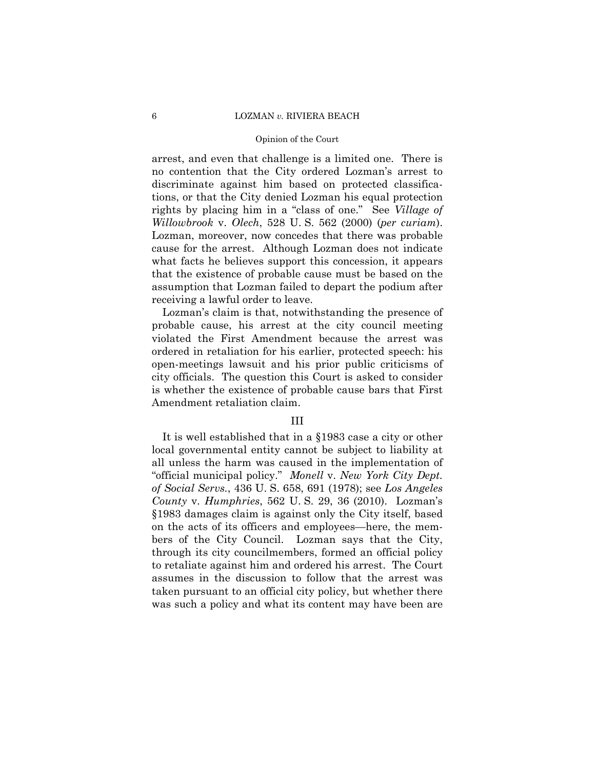arrest, and even that challenge is a limited one. There is no contention that the City ordered Lozman's arrest to discriminate against him based on protected classifications, or that the City denied Lozman his equal protection rights by placing him in a "class of one." See *Village of Willowbrook* v. *Olech*, 528 U. S. 562 (2000) (*per curiam*). Lozman, moreover, now concedes that there was probable cause for the arrest. Although Lozman does not indicate what facts he believes support this concession, it appears that the existence of probable cause must be based on the assumption that Lozman failed to depart the podium after receiving a lawful order to leave.

Lozman's claim is that, notwithstanding the presence of probable cause, his arrest at the city council meeting violated the First Amendment because the arrest was ordered in retaliation for his earlier, protected speech: his open-meetings lawsuit and his prior public criticisms of city officials. The question this Court is asked to consider is whether the existence of probable cause bars that First Amendment retaliation claim.

#### III

 "official municipal policy." *Monell* v. *New York City Dept.*  It is well established that in a §1983 case a city or other local governmental entity cannot be subject to liability at all unless the harm was caused in the implementation of *of Social Servs.*, 436 U. S. 658, 691 (1978); see *Los Angeles County* v. *Humphries*, 562 U. S. 29, 36 (2010). Lozman's §1983 damages claim is against only the City itself, based on the acts of its officers and employees—here, the members of the City Council. Lozman says that the City, through its city councilmembers, formed an official policy to retaliate against him and ordered his arrest. The Court assumes in the discussion to follow that the arrest was taken pursuant to an official city policy, but whether there was such a policy and what its content may have been are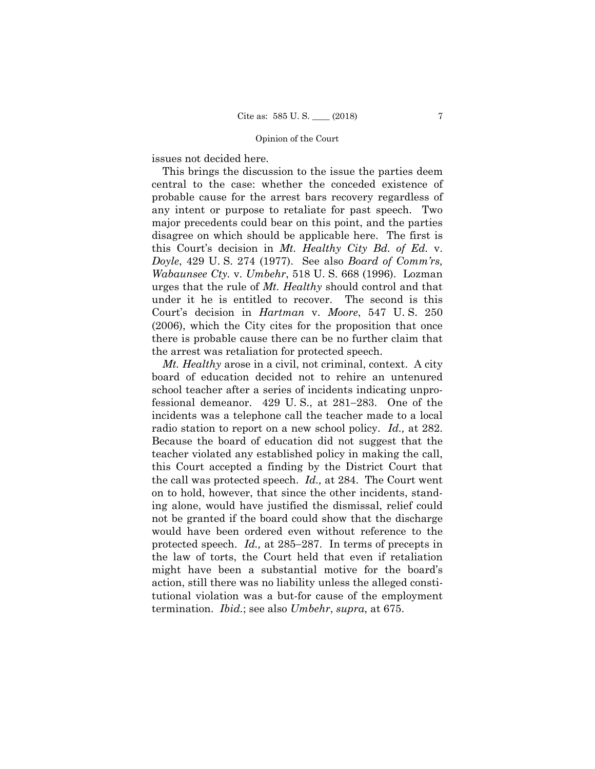issues not decided here.

This brings the discussion to the issue the parties deem central to the case: whether the conceded existence of probable cause for the arrest bars recovery regardless of any intent or purpose to retaliate for past speech. Two major precedents could bear on this point, and the parties disagree on which should be applicable here. The first is this Court's decision in *Mt. Healthy City Bd. of Ed.* v. *Doyle*, 429 U. S. 274 (1977). See also *Board of Comm'rs, Wabaunsee Cty.* v. *Umbehr*, 518 U. S. 668 (1996). Lozman urges that the rule of *Mt. Healthy* should control and that under it he is entitled to recover. The second is this Court's decision in *Hartman* v. *Moore*, 547 U. S. 250 (2006), which the City cites for the proposition that once there is probable cause there can be no further claim that the arrest was retaliation for protected speech.

 *Mt. Healthy* arose in a civil, not criminal, context. A city board of education decided not to rehire an untenured school teacher after a series of incidents indicating unprofessional demeanor.  $429$  U.S., at  $281-283$ . One of the incidents was a telephone call the teacher made to a local radio station to report on a new school policy. *Id.,* at 282. Because the board of education did not suggest that the teacher violated any established policy in making the call, this Court accepted a finding by the District Court that the call was protected speech. *Id.,* at 284. The Court went on to hold, however, that since the other incidents, standing alone, would have justified the dismissal, relief could not be granted if the board could show that the discharge would have been ordered even without reference to the protected speech. *Id.*, at 285–287. In terms of precepts in the law of torts, the Court held that even if retaliation might have been a substantial motive for the board's action, still there was no liability unless the alleged constitutional violation was a but-for cause of the employment termination. *Ibid.*; see also *Umbehr*, *supra*, at 675.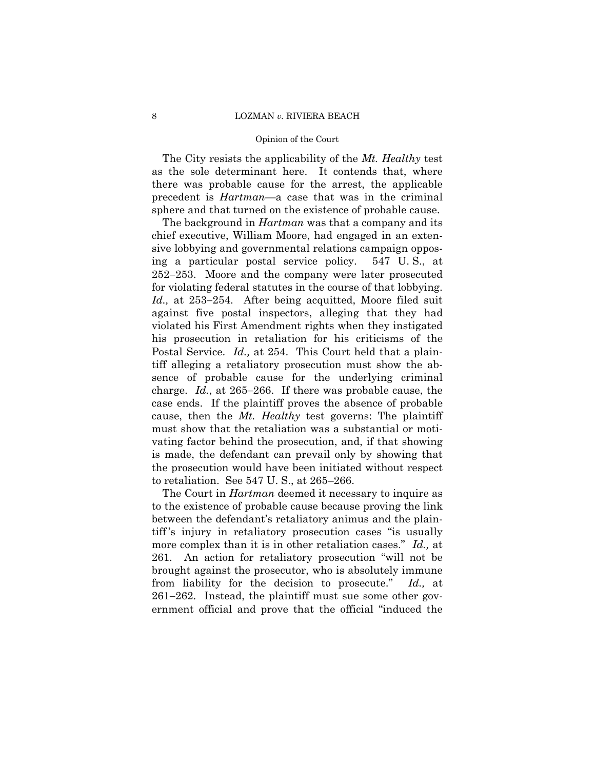The City resists the applicability of the *Mt. Healthy* test as the sole determinant here. It contends that, where there was probable cause for the arrest, the applicable precedent is *Hartman*—a case that was in the criminal sphere and that turned on the existence of probable cause.

The background in *Hartman* was that a company and its chief executive, William Moore, had engaged in an extensive lobbying and governmental relations campaign opposing a particular postal service policy. 547 U. S., at 252–253. Moore and the company were later prosecuted for violating federal statutes in the course of that lobbying. *Id.*, at 253–254. After being acquitted, Moore filed suit against five postal inspectors, alleging that they had violated his First Amendment rights when they instigated his prosecution in retaliation for his criticisms of the Postal Service. *Id.,* at 254. This Court held that a plaintiff alleging a retaliatory prosecution must show the absence of probable cause for the underlying criminal charge.  $Id.$ , at  $265-266$ . If there was probable cause, the case ends. If the plaintiff proves the absence of probable cause, then the *Mt. Healthy* test governs: The plaintiff must show that the retaliation was a substantial or motivating factor behind the prosecution, and, if that showing is made, the defendant can prevail only by showing that the prosecution would have been initiated without respect to retaliation. See 547 U. S., at 265–266.

The Court in *Hartman* deemed it necessary to inquire as to the existence of probable cause because proving the link between the defendant's retaliatory animus and the plaintiff 's injury in retaliatory prosecution cases "is usually more complex than it is in other retaliation cases." *Id.,* at 261*.* An action for retaliatory prosecution "will not be brought against the prosecutor, who is absolutely immune from liability for the decision to prosecute." *Id.,* at  $261-262$ . Instead, the plaintiff must sue some other government official and prove that the official "induced the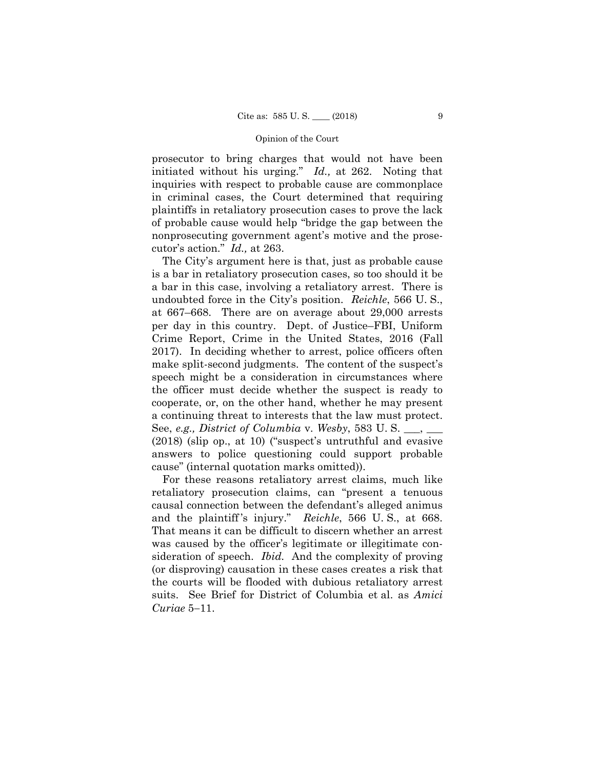prosecutor to bring charges that would not have been initiated without his urging." *Id.,* at 262. Noting that inquiries with respect to probable cause are commonplace in criminal cases, the Court determined that requiring plaintiffs in retaliatory prosecution cases to prove the lack of probable cause would help "bridge the gap between the nonprosecuting government agent's motive and the prosecutor's action." *Id.,* at 263.

The City's argument here is that, just as probable cause is a bar in retaliatory prosecution cases, so too should it be a bar in this case, involving a retaliatory arrest. There is undoubted force in the City's position. *Reichle*, 566 U. S., at 667–668. There are on average about 29,000 arrests per day in this country. Dept. of Justice–FBI, Uniform Crime Report, Crime in the United States, 2016 (Fall 2017). In deciding whether to arrest, police officers often make split-second judgments. The content of the suspect's speech might be a consideration in circumstances where the officer must decide whether the suspect is ready to cooperate, or, on the other hand, whether he may present a continuing threat to interests that the law must protect. See, *e.g., District of Columbia* v. *Wesby*, 583 U. S. \_\_\_, \_\_\_ (2018) (slip op., at 10) ("suspect's untruthful and evasive answers to police questioning could support probable

 and the plaintiff 's injury." *Reichle*, 566 U. S., at 668. cause" (internal quotation marks omitted)). For these reasons retaliatory arrest claims, much like retaliatory prosecution claims, can "present a tenuous causal connection between the defendant's alleged animus That means it can be difficult to discern whether an arrest was caused by the officer's legitimate or illegitimate consideration of speech. *Ibid.* And the complexity of proving

(or disproving) causation in these cases creates a risk that the courts will be flooded with dubious retaliatory arrest suits. See Brief for District of Columbia et al. as *Amici Curiae* 5-11.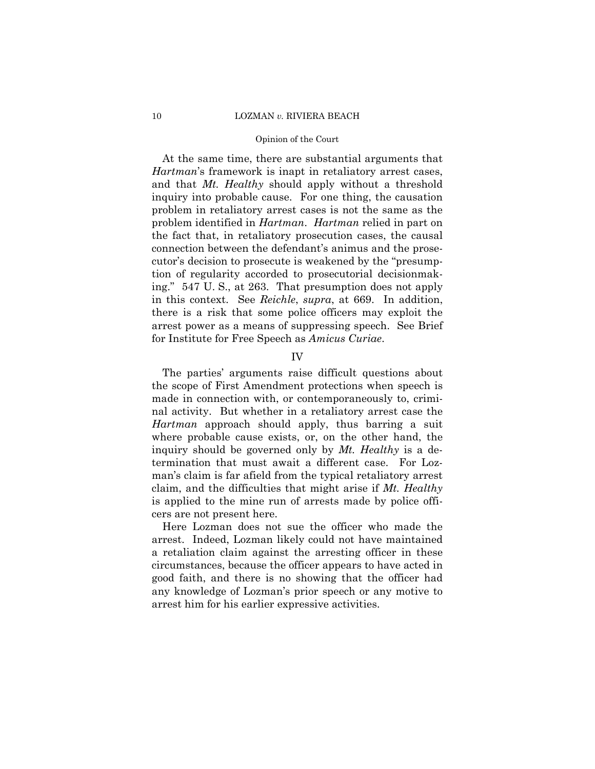#### 10 LOZMAN *v.* RIVIERA BEACH

#### Opinion of the Court

At the same time, there are substantial arguments that *Hartman*'s framework is inapt in retaliatory arrest cases, and that *Mt. Healthy* should apply without a threshold inquiry into probable cause. For one thing, the causation problem in retaliatory arrest cases is not the same as the problem identified in *Hartman*. *Hartman* relied in part on the fact that, in retaliatory prosecution cases, the causal connection between the defendant's animus and the prosecutor's decision to prosecute is weakened by the "presumption of regularity accorded to prosecutorial decisionmaking." 547 U. S., at 263. That presumption does not apply in this context. See *Reichle*, *supra*, at 669. In addition, there is a risk that some police officers may exploit the arrest power as a means of suppressing speech. See Brief for Institute for Free Speech as *Amicus Curiae*.

### IV

The parties' arguments raise difficult questions about the scope of First Amendment protections when speech is made in connection with, or contemporaneously to, criminal activity. But whether in a retaliatory arrest case the *Hartman* approach should apply, thus barring a suit where probable cause exists, or, on the other hand, the inquiry should be governed only by *Mt. Healthy* is a determination that must await a different case. For Lozman's claim is far afield from the typical retaliatory arrest claim, and the difficulties that might arise if *Mt. Healthy* is applied to the mine run of arrests made by police officers are not present here.

Here Lozman does not sue the officer who made the arrest. Indeed, Lozman likely could not have maintained a retaliation claim against the arresting officer in these circumstances, because the officer appears to have acted in good faith, and there is no showing that the officer had any knowledge of Lozman's prior speech or any motive to arrest him for his earlier expressive activities.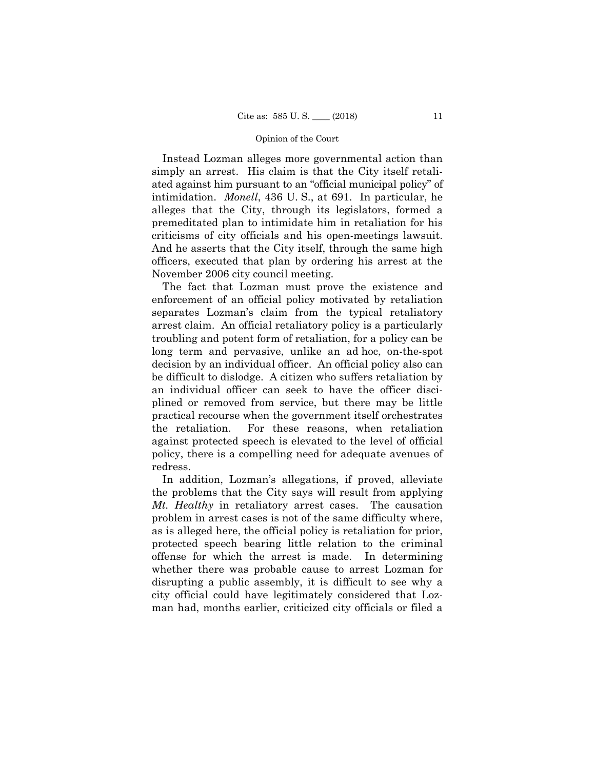Instead Lozman alleges more governmental action than simply an arrest. His claim is that the City itself retaliated against him pursuant to an "official municipal policy" of intimidation. *Monell*, 436 U. S., at 691. In particular, he alleges that the City, through its legislators, formed a premeditated plan to intimidate him in retaliation for his criticisms of city officials and his open-meetings lawsuit. And he asserts that the City itself, through the same high officers, executed that plan by ordering his arrest at the November 2006 city council meeting.

The fact that Lozman must prove the existence and enforcement of an official policy motivated by retaliation separates Lozman's claim from the typical retaliatory arrest claim. An official retaliatory policy is a particularly troubling and potent form of retaliation, for a policy can be long term and pervasive, unlike an ad hoc, on-the-spot decision by an individual officer. An official policy also can be difficult to dislodge. A citizen who suffers retaliation by an individual officer can seek to have the officer disciplined or removed from service, but there may be little practical recourse when the government itself orchestrates the retaliation. For these reasons, when retaliation against protected speech is elevated to the level of official policy, there is a compelling need for adequate avenues of redress.

In addition, Lozman's allegations, if proved, alleviate the problems that the City says will result from applying *Mt. Healthy* in retaliatory arrest cases. The causation problem in arrest cases is not of the same difficulty where, as is alleged here, the official policy is retaliation for prior, protected speech bearing little relation to the criminal offense for which the arrest is made. In determining whether there was probable cause to arrest Lozman for disrupting a public assembly, it is difficult to see why a city official could have legitimately considered that Lozman had, months earlier, criticized city officials or filed a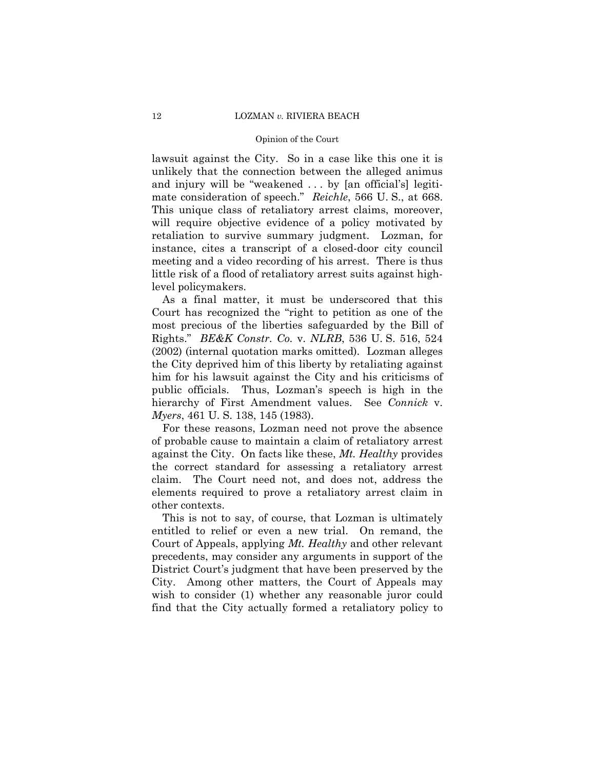lawsuit against the City. So in a case like this one it is unlikely that the connection between the alleged animus and injury will be "weakened . . . by [an official's] legitimate consideration of speech." *Reichle*, 566 U. S., at 668. This unique class of retaliatory arrest claims, moreover, will require objective evidence of a policy motivated by retaliation to survive summary judgment. Lozman, for instance, cites a transcript of a closed-door city council meeting and a video recording of his arrest. There is thus little risk of a flood of retaliatory arrest suits against highlevel policymakers.

As a final matter, it must be underscored that this Court has recognized the "right to petition as one of the most precious of the liberties safeguarded by the Bill of Rights." *BE&K Constr. Co.* v. *NLRB*, 536 U. S. 516, 524 (2002) (internal quotation marks omitted). Lozman alleges the City deprived him of this liberty by retaliating against him for his lawsuit against the City and his criticisms of public officials. Thus, Lozman's speech is high in the hierarchy of First Amendment values. See *Connick* v. *Myers*, 461 U. S. 138, 145 (1983).

For these reasons, Lozman need not prove the absence of probable cause to maintain a claim of retaliatory arrest against the City. On facts like these, *Mt. Healthy* provides the correct standard for assessing a retaliatory arrest claim. The Court need not, and does not, address the elements required to prove a retaliatory arrest claim in other contexts.

This is not to say, of course, that Lozman is ultimately entitled to relief or even a new trial. On remand, the Court of Appeals, applying *Mt. Healthy* and other relevant precedents, may consider any arguments in support of the District Court's judgment that have been preserved by the City. Among other matters, the Court of Appeals may wish to consider (1) whether any reasonable juror could find that the City actually formed a retaliatory policy to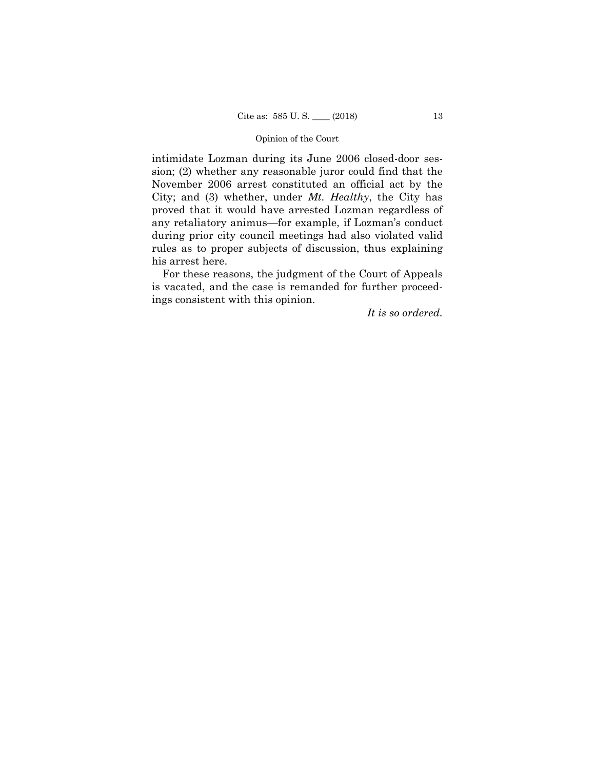intimidate Lozman during its June 2006 closed-door session; (2) whether any reasonable juror could find that the November 2006 arrest constituted an official act by the City; and (3) whether, under *Mt. Healthy*, the City has proved that it would have arrested Lozman regardless of any retaliatory animus—for example, if Lozman's conduct during prior city council meetings had also violated valid rules as to proper subjects of discussion, thus explaining his arrest here.

For these reasons, the judgment of the Court of Appeals is vacated, and the case is remanded for further proceedings consistent with this opinion.

*It is so ordered.*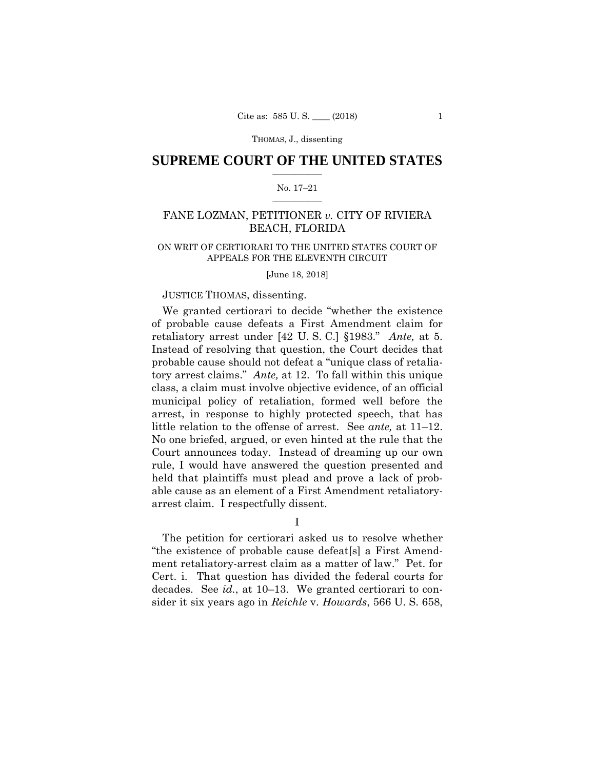### $\frac{1}{2}$  , where  $\frac{1}{2}$ **SUPREME COURT OF THE UNITED STATES**

#### $\frac{1}{2}$  ,  $\frac{1}{2}$  ,  $\frac{1}{2}$  ,  $\frac{1}{2}$  ,  $\frac{1}{2}$  ,  $\frac{1}{2}$ No. 17–21

# FANE LOZMAN, PETITIONER *v.* CITY OF RIVIERA BEACH, FLORIDA

# ON WRIT OF CERTIORARI TO THE UNITED STATES COURT OF APPEALS FOR THE ELEVENTH CIRCUIT

[June 18, 2018]

# JUSTICE THOMAS, dissenting.

 little relation to the offense of arrest. See *ante,* at 11–12. No one briefed, argued, or even hinted at the rule that the We granted certiorari to decide "whether the existence of probable cause defeats a First Amendment claim for retaliatory arrest under [42 U. S. C.] §1983." *Ante,* at 5. Instead of resolving that question, the Court decides that probable cause should not defeat a "unique class of retaliatory arrest claims." *Ante,* at 12. To fall within this unique class, a claim must involve objective evidence, of an official municipal policy of retaliation, formed well before the arrest, in response to highly protected speech, that has Court announces today. Instead of dreaming up our own rule, I would have answered the question presented and held that plaintiffs must plead and prove a lack of probable cause as an element of a First Amendment retaliatoryarrest claim. I respectfully dissent.

I

The petition for certiorari asked us to resolve whether "the existence of probable cause defeat[s] a First Amendment retaliatory-arrest claim as a matter of law." Pet. for Cert. i. That question has divided the federal courts for decades. See *id.*, at 10–13. We granted certiorari to consider it six years ago in *Reichle* v. *Howards*, 566 U. S. 658,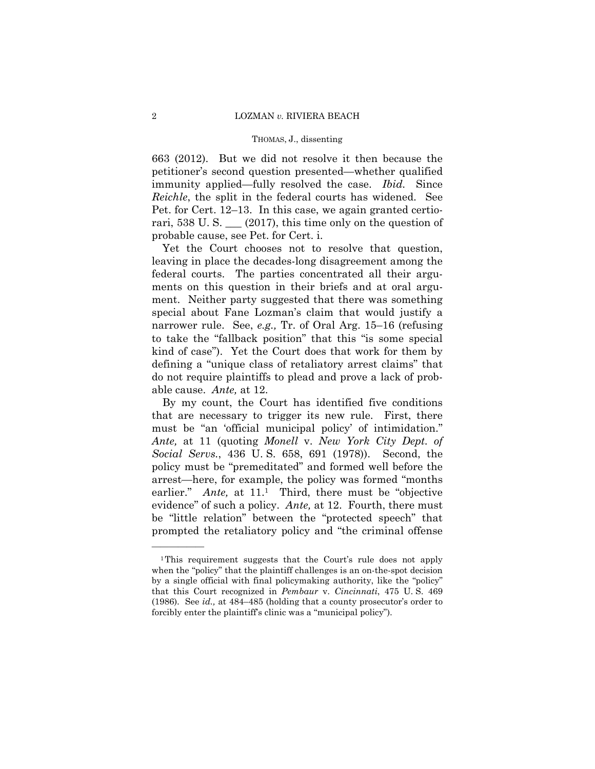663 (2012). But we did not resolve it then because the petitioner's second question presented—whether qualified immunity applied—fully resolved the case. *Ibid.* Since *Reichle*, the split in the federal courts has widened. See Pet. for Cert. 12–13. In this case, we again granted certiorari, 538 U.S.  $\qquad$  (2017), this time only on the question of probable cause, see Pet. for Cert. i.

Yet the Court chooses not to resolve that question, leaving in place the decades-long disagreement among the federal courts. The parties concentrated all their arguments on this question in their briefs and at oral argument. Neither party suggested that there was something special about Fane Lozman's claim that would justify a narrower rule. See, *e.g.,* Tr. of Oral Arg. 15–16 (refusing to take the "fallback position" that this "is some special kind of case"). Yet the Court does that work for them by defining a "unique class of retaliatory arrest claims" that do not require plaintiffs to plead and prove a lack of probable cause. *Ante,* at 12.

By my count, the Court has identified five conditions that are necessary to trigger its new rule. First, there must be "an 'official municipal policy' of intimidation." *Ante,* at 11 (quoting *Monell* v. *New York City Dept. of Social Servs.*, 436 U. S. 658, 691 (1978)). Second, the policy must be "premeditated" and formed well before the arrest—here, for example, the policy was formed "months earlier." *Ante*, at 11.<sup>1</sup> Third, there must be "objective evidence" of such a policy. *Ante,* at 12. Fourth, there must be "little relation" between the "protected speech" that prompted the retaliatory policy and "the criminal offense

——————

<sup>1</sup>This requirement suggests that the Court's rule does not apply when the "policy" that the plaintiff challenges is an on-the-spot decision by a single official with final policymaking authority, like the "policy" that this Court recognized in *Pembaur* v. *Cincinnati*, 475 U. S. 469 (1986). See *id.,* at 484–485 (holding that a county prosecutor's order to forcibly enter the plaintiff's clinic was a "municipal policy").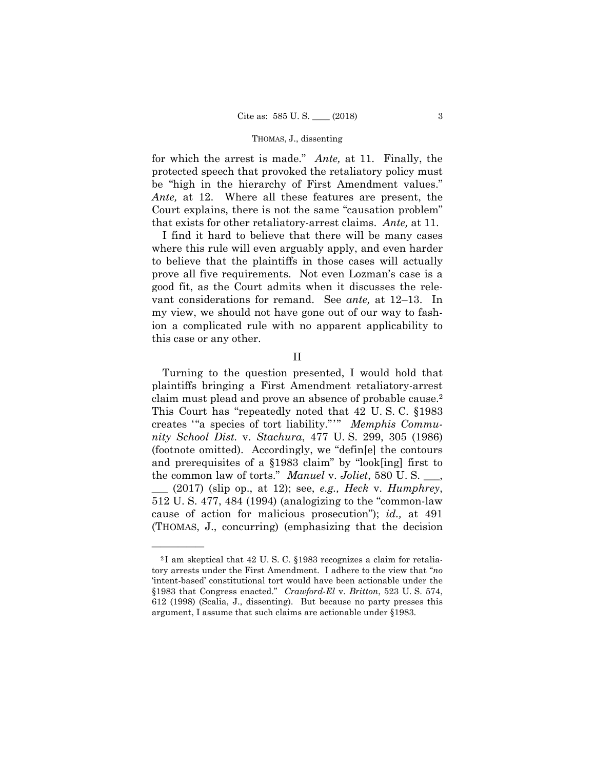for which the arrest is made." *Ante,* at 11. Finally, the protected speech that provoked the retaliatory policy must be "high in the hierarchy of First Amendment values." *Ante,* at 12. Where all these features are present, the Court explains, there is not the same "causation problem" that exists for other retaliatory-arrest claims. *Ante,* at 11.

I find it hard to believe that there will be many cases where this rule will even arguably apply, and even harder to believe that the plaintiffs in those cases will actually prove all five requirements. Not even Lozman's case is a good fit, as the Court admits when it discusses the relevant considerations for remand. See *ante,* at 12–13. In my view, we should not have gone out of our way to fashion a complicated rule with no apparent applicability to this case or any other.

II

claim must plead and prove an absence of probable cause.<sup>2</sup> creates '"a species of tort liability."'" *Memphis Commu-*Turning to the question presented, I would hold that plaintiffs bringing a First Amendment retaliatory-arrest This Court has "repeatedly noted that 42 U. S. C. §1983 *nity School Dist.* v. *Stachura*, 477 U. S. 299, 305 (1986) (footnote omitted). Accordingly, we "defin[e] the contours and prerequisites of a §1983 claim" by "look[ing] first to the common law of torts." *Manuel* v. *Joliet*, 580 U. S. \_\_\_, \_\_\_ (2017) (slip op., at 12); see, *e.g., Heck* v. *Humphrey*,

512 U. S. 477, 484 (1994) (analogizing to the "common-law cause of action for malicious prosecution"); *id.,* at 491 (THOMAS, J., concurring) (emphasizing that the decision

——————

<sup>2</sup> I am skeptical that 42 U. S. C. §1983 recognizes a claim for retaliatory arrests under the First Amendment. I adhere to the view that "*no*  'intent-based' constitutional tort would have been actionable under the §1983 that Congress enacted." *Crawford-El* v. *Britton*, 523 U. S. 574, 612 (1998) (Scalia, J., dissenting). But because no party presses this argument, I assume that such claims are actionable under §1983.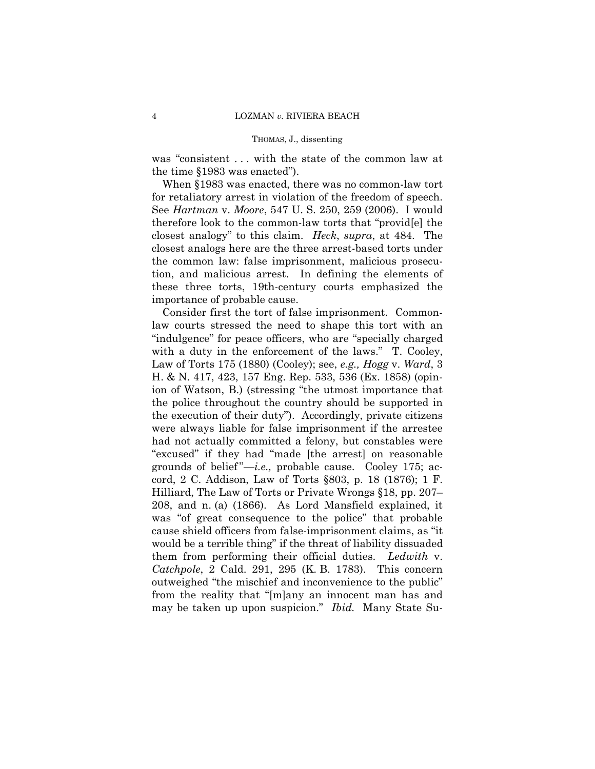was "consistent . . . with the state of the common law at the time §1983 was enacted").

When §1983 was enacted, there was no common-law tort for retaliatory arrest in violation of the freedom of speech. See *Hartman* v. *Moore*, 547 U. S. 250, 259 (2006). I would therefore look to the common-law torts that "provid[e] the closest analogy" to this claim. *Heck*, *supra*, at 484. The closest analogs here are the three arrest-based torts under the common law: false imprisonment, malicious prosecution, and malicious arrest. In defining the elements of these three torts, 19th-century courts emphasized the importance of probable cause.

*Catchpole*, 2 Cald. 291, 295 (K. B. 1783). This concern Consider first the tort of false imprisonment. Commonlaw courts stressed the need to shape this tort with an "indulgence" for peace officers, who are "specially charged with a duty in the enforcement of the laws." T. Cooley, Law of Torts 175 (1880) (Cooley); see, *e.g., Hogg* v. *Ward*, 3 H. & N. 417, 423, 157 Eng. Rep. 533, 536 (Ex. 1858) (opinion of Watson, B.) (stressing "the utmost importance that the police throughout the country should be supported in the execution of their duty"). Accordingly, private citizens were always liable for false imprisonment if the arrestee had not actually committed a felony, but constables were "excused" if they had "made [the arrest] on reasonable grounds of belief "—*i.e.,* probable cause. Cooley 175; accord, 2 C. Addison, Law of Torts §803, p. 18 (1876); 1 F. Hilliard, The Law of Torts or Private Wrongs §18, pp. 207– 208, and n. (a) (1866). As Lord Mansfield explained, it was "of great consequence to the police" that probable cause shield officers from false-imprisonment claims, as "it would be a terrible thing" if the threat of liability dissuaded them from performing their official duties. *Ledwith* v. outweighed "the mischief and inconvenience to the public" from the reality that "[m]any an innocent man has and may be taken up upon suspicion." *Ibid.* Many State Su-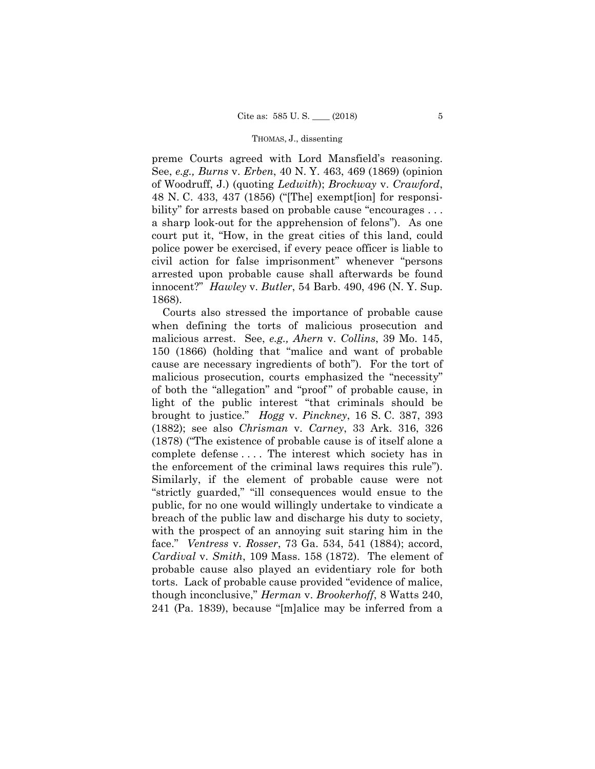preme Courts agreed with Lord Mansfield's reasoning. See, *e.g., Burns* v. *Erben*, 40 N. Y. 463, 469 (1869) (opinion of Woodruff, J.) (quoting *Ledwith*); *Brockway* v. *Crawford*, 48 N. C. 433, 437 (1856) ("[The] exempt[ion] for responsibility" for arrests based on probable cause "encourages... a sharp look-out for the apprehension of felons"). As one court put it, "How, in the great cities of this land, could police power be exercised, if every peace officer is liable to civil action for false imprisonment" whenever "persons arrested upon probable cause shall afterwards be found innocent?" *Hawley* v. *Butler*, 54 Barb. 490, 496 (N. Y. Sup. 1868).

 the enforcement of the criminal laws requires this rule"). Courts also stressed the importance of probable cause when defining the torts of malicious prosecution and malicious arrest. See, *e.g., Ahern* v. *Collins*, 39 Mo. 145, 150 (1866) (holding that "malice and want of probable cause are necessary ingredients of both"). For the tort of malicious prosecution, courts emphasized the "necessity" of both the "allegation" and "proof" of probable cause, in light of the public interest "that criminals should be brought to justice." *Hogg* v. *Pinckney*, 16 S. C. 387, 393 (1882); see also *Chrisman* v. *Carney*, 33 Ark. 316, 326 (1878) ("The existence of probable cause is of itself alone a complete defense . . . . The interest which society has in Similarly, if the element of probable cause were not "strictly guarded," "ill consequences would ensue to the public, for no one would willingly undertake to vindicate a breach of the public law and discharge his duty to society, with the prospect of an annoying suit staring him in the face." *Ventress* v. *Rosser*, 73 Ga. 534, 541 (1884); accord, *Cardival* v. *Smith*, 109 Mass. 158 (1872). The element of probable cause also played an evidentiary role for both torts. Lack of probable cause provided "evidence of malice, though inconclusive," *Herman* v. *Brookerhoff*, 8 Watts 240, 241 (Pa. 1839), because "[m]alice may be inferred from a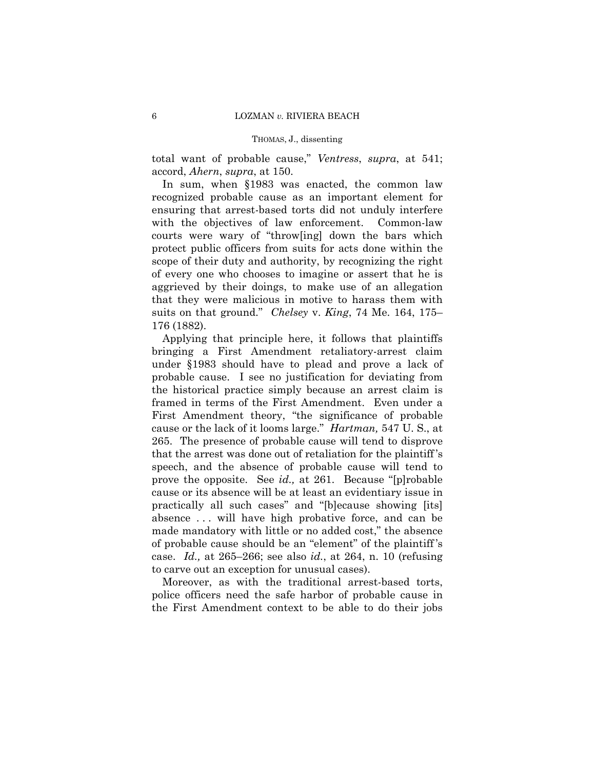total want of probable cause," *Ventress*, *supra*, at 541; accord, *Ahern*, *supra*, at 150.

In sum, when §1983 was enacted, the common law recognized probable cause as an important element for ensuring that arrest-based torts did not unduly interfere with the objectives of law enforcement. Common-law courts were wary of "throw[ing] down the bars which protect public officers from suits for acts done within the scope of their duty and authority, by recognizing the right of every one who chooses to imagine or assert that he is aggrieved by their doings, to make use of an allegation that they were malicious in motive to harass them with suits on that ground." *Chelsey* v. *King*, 74 Me. 164, 175– 176 (1882).

Applying that principle here, it follows that plaintiffs bringing a First Amendment retaliatory-arrest claim under §1983 should have to plead and prove a lack of probable cause. I see no justification for deviating from the historical practice simply because an arrest claim is framed in terms of the First Amendment. Even under a First Amendment theory, "the significance of probable cause or the lack of it looms large." *Hartman,* 547 U. S., at 265. The presence of probable cause will tend to disprove that the arrest was done out of retaliation for the plaintiff 's speech, and the absence of probable cause will tend to prove the opposite. See *id.,* at 261. Because "[p]robable cause or its absence will be at least an evidentiary issue in practically all such cases" and "[b]ecause showing [its] absence . . . will have high probative force, and can be made mandatory with little or no added cost," the absence of probable cause should be an "element" of the plaintiff 's case. *Id.,* at 265–266; see also *id.*, at 264, n. 10 (refusing to carve out an exception for unusual cases).

Moreover, as with the traditional arrest-based torts, police officers need the safe harbor of probable cause in the First Amendment context to be able to do their jobs